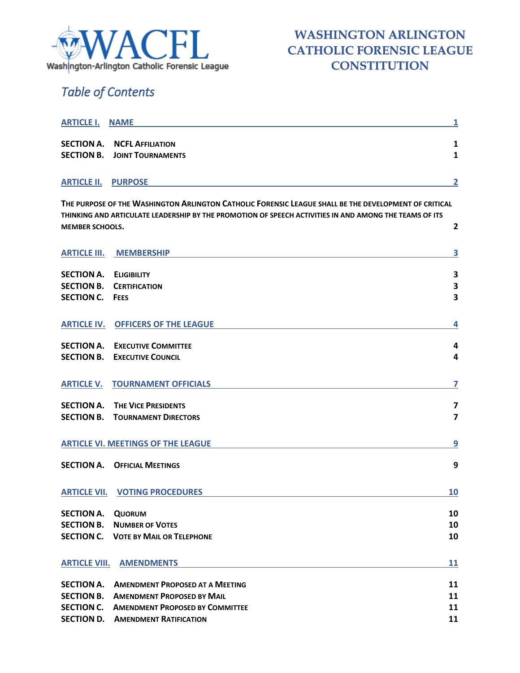

# *Table of Contents*

| <b>ARTICLE I.</b>                                                                | <b>NAME</b>                                                                                                                                                                                                     | 1                            |
|----------------------------------------------------------------------------------|-----------------------------------------------------------------------------------------------------------------------------------------------------------------------------------------------------------------|------------------------------|
| <b>SECTION A.</b><br><b>SECTION B.</b>                                           | <b>NCFL AFFILIATION</b><br><b>JOINT TOURNAMENTS</b>                                                                                                                                                             | 1<br>1                       |
| <b>ARTICLE II.</b>                                                               | <b>PURPOSE</b>                                                                                                                                                                                                  | $\overline{\mathbf{2}}$      |
| <b>MEMBER SCHOOLS.</b>                                                           | THE PURPOSE OF THE WASHINGTON ARLINGTON CATHOLIC FORENSIC LEAGUE SHALL BE THE DEVELOPMENT OF CRITICAL<br>THINKING AND ARTICULATE LEADERSHIP BY THE PROMOTION OF SPEECH ACTIVITIES IN AND AMONG THE TEAMS OF ITS | $\overline{\mathbf{2}}$      |
| <b>ARTICLE III.</b>                                                              | <b>MEMBERSHIP</b>                                                                                                                                                                                               | $\overline{\mathbf{3}}$      |
| <b>SECTION A.</b><br><b>SECTION B.</b><br><b>SECTION C.</b>                      | <b>ELIGIBILITY</b><br><b>CERTIFICATION</b><br><b>FEES</b>                                                                                                                                                       | 3<br>3<br>3                  |
| <b>ARTICLE IV.</b>                                                               | <b>OFFICERS OF THE LEAGUE</b>                                                                                                                                                                                   | 4                            |
| <b>SECTION A.</b><br><b>SECTION B.</b>                                           | <b>EXECUTIVE COMMITTEE</b><br><b>EXECUTIVE COUNCIL</b>                                                                                                                                                          | 4<br>4                       |
| <b>ARTICLE V.</b>                                                                | <b>TOURNAMENT OFFICIALS</b>                                                                                                                                                                                     | 7                            |
| <b>SECTION A.</b><br><b>SECTION B.</b>                                           | <b>THE VICE PRESIDENTS</b><br><b>TOURNAMENT DIRECTORS</b>                                                                                                                                                       | 7<br>$\overline{\mathbf{z}}$ |
|                                                                                  | <b>ARTICLE VI. MEETINGS OF THE LEAGUE</b>                                                                                                                                                                       | 9                            |
| <b>SECTION A.</b>                                                                | <b>OFFICIAL MEETINGS</b>                                                                                                                                                                                        | 9                            |
| <b>ARTICLE VII.</b>                                                              | <b>VOTING PROCEDURES</b>                                                                                                                                                                                        | 10                           |
| <b>SECTION A.</b><br><b>SECTION B.</b>                                           | <b>QUORUM</b><br><b>NUMBER OF VOTES</b><br><b>SECTION C. VOTE BY MAIL OR TELEPHONE</b>                                                                                                                          | 10<br>10<br>10               |
| <b>ARTICLE VIII.</b>                                                             | <b>AMENDMENTS</b>                                                                                                                                                                                               | 11                           |
| <b>SECTION A.</b><br><b>SECTION B.</b><br><b>SECTION C.</b><br><b>SECTION D.</b> | <b>AMENDMENT PROPOSED AT A MEETING</b><br><b>AMENDMENT PROPOSED BY MAIL</b><br><b>AMENDMENT PROPOSED BY COMMITTEE</b><br><b>AMENDMENT RATIFICATION</b>                                                          | 11<br>11<br>11<br>11         |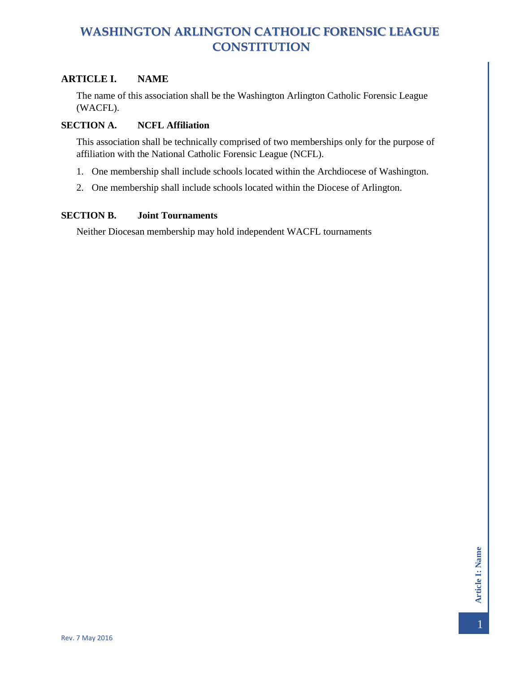### <span id="page-1-0"></span>**ARTICLE I. NAME**

The name of this association shall be the Washington Arlington Catholic Forensic League (WACFL).

### <span id="page-1-1"></span>**SECTION A. NCFL Affiliation**

This association shall be technically comprised of two memberships only for the purpose of affiliation with the National Catholic Forensic League (NCFL).

- 1. One membership shall include schools located within the Archdiocese of Washington.
- 2. One membership shall include schools located within the Diocese of Arlington.

#### <span id="page-1-2"></span>**SECTION B. Joint Tournaments**

Neither Diocesan membership may hold independent WACFL tournaments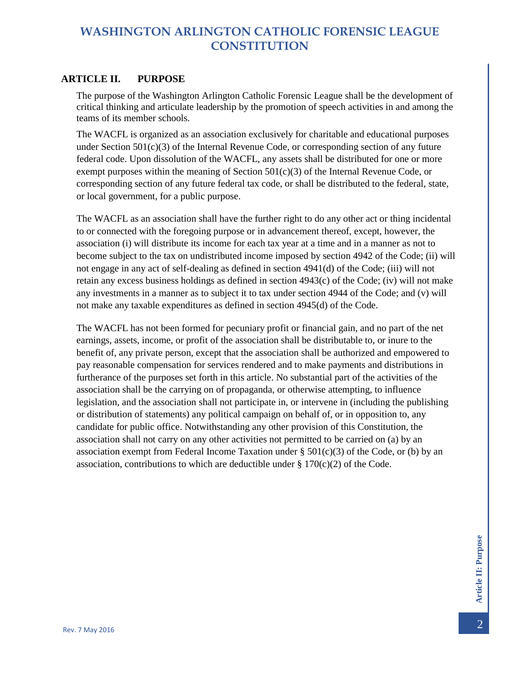### <span id="page-2-1"></span><span id="page-2-0"></span>**ARTICLE II. PURPOSE**

The purpose of the Washington Arlington Catholic Forensic League shall be the development of critical thinking and articulate leadership by the promotion of speech activities in and among the teams of its member schools.

The WACFL is organized as an association exclusively for charitable and educational purposes under Section  $501(c)(3)$  of the Internal Revenue Code, or corresponding section of any future federal code. Upon dissolution of the WACFL, any assets shall be distributed for one or more exempt purposes within the meaning of Section  $501(c)(3)$  of the Internal Revenue Code, or corresponding section of any future federal tax code, or shall be distributed to the federal, state, or local government, for a public purpose.

The WACFL as an association shall have the further right to do any other act or thing incidental to or connected with the foregoing purpose or in advancement thereof, except, however, the association (i) will distribute its income for each tax year at a time and in a manner as not to become subject to the tax on undistributed income imposed by section 4942 of the Code; (ii) will not engage in any act of self-dealing as defined in section 4941(d) of the Code; (iii) will not retain any excess business holdings as defined in section 4943(c) of the Code; (iv) will not make any investments in a manner as to subject it to tax under section 4944 of the Code; and (v) will not make any taxable expenditures as defined in section 4945(d) of the Code.

The WACFL has not been formed for pecuniary profit or financial gain, and no part of the net earnings, assets, income, or profit of the association shall be distributable to, or inure to the benefit of, any private person, except that the association shall be authorized and empowered to pay reasonable compensation for services rendered and to make payments and distributions in furtherance of the purposes set forth in this article. No substantial part of the activities of the association shall be the carrying on of propaganda, or otherwise attempting, to influence legislation, and the association shall not participate in, or intervene in (including the publishing or distribution of statements) any political campaign on behalf of, or in opposition to, any candidate for public office. Notwithstanding any other provision of this Constitution, the association shall not carry on any other activities not permitted to be carried on (a) by an association exempt from Federal Income Taxation under §  $501(c)(3)$  of the Code, or (b) by an association, contributions to which are deductible under  $\S 170(c)(2)$  of the Code.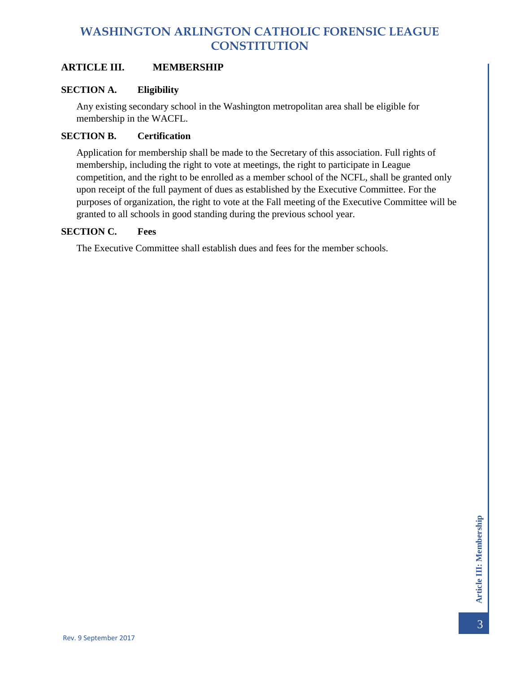## <span id="page-3-0"></span>**ARTICLE III. MEMBERSHIP**

### <span id="page-3-1"></span>**SECTION A. Eligibility**

Any existing secondary school in the Washington metropolitan area shall be eligible for membership in the WACFL.

### <span id="page-3-2"></span>**SECTION B. Certification**

Application for membership shall be made to the Secretary of this association. Full rights of membership, including the right to vote at meetings, the right to participate in League competition, and the right to be enrolled as a member school of the NCFL, shall be granted only upon receipt of the full payment of dues as established by the Executive Committee. For the purposes of organization, the right to vote at the Fall meeting of the Executive Committee will be granted to all schools in good standing during the previous school year.

### <span id="page-3-3"></span>**SECTION C. Fees**

The Executive Committee shall establish dues and fees for the member schools.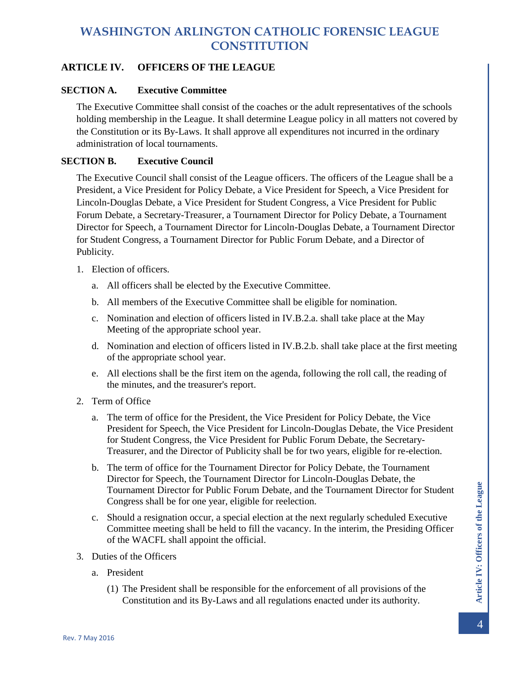## <span id="page-4-0"></span>**ARTICLE IV. OFFICERS OF THE LEAGUE**

### <span id="page-4-1"></span>**SECTION A. Executive Committee**

The Executive Committee shall consist of the coaches or the adult representatives of the schools holding membership in the League. It shall determine League policy in all matters not covered by the Constitution or its By-Laws. It shall approve all expenditures not incurred in the ordinary administration of local tournaments.

### <span id="page-4-2"></span>**SECTION B. Executive Council**

The Executive Council shall consist of the League officers. The officers of the League shall be a President, a Vice President for Policy Debate, a Vice President for Speech, a Vice President for Lincoln-Douglas Debate, a Vice President for Student Congress, a Vice President for Public Forum Debate, a Secretary-Treasurer, a Tournament Director for Policy Debate, a Tournament Director for Speech, a Tournament Director for Lincoln-Douglas Debate, a Tournament Director for Student Congress, a Tournament Director for Public Forum Debate, and a Director of Publicity.

- 1. Election of officers.
	- a. All officers shall be elected by the Executive Committee.
	- b. All members of the Executive Committee shall be eligible for nomination.
	- c. Nomination and election of officers listed in IV.B.2.a. shall take place at the May Meeting of the appropriate school year.
	- d. Nomination and election of officers listed in IV.B.2.b. shall take place at the first meeting of the appropriate school year.
	- e. All elections shall be the first item on the agenda, following the roll call, the reading of the minutes, and the treasurer's report.
- 2. Term of Office
	- a. The term of office for the President, the Vice President for Policy Debate, the Vice President for Speech, the Vice President for Lincoln-Douglas Debate, the Vice President for Student Congress, the Vice President for Public Forum Debate, the Secretary-Treasurer, and the Director of Publicity shall be for two years, eligible for re-election.
	- b. The term of office for the Tournament Director for Policy Debate, the Tournament Director for Speech, the Tournament Director for Lincoln-Douglas Debate, the Tournament Director for Public Forum Debate, and the Tournament Director for Student Congress shall be for one year, eligible for reelection.
	- c. Should a resignation occur, a special election at the next regularly scheduled Executive Committee meeting shall be held to fill the vacancy. In the interim, the Presiding Officer of the WACFL shall appoint the official.
- 3. Duties of the Officers
	- a. President
		- (1) The President shall be responsible for the enforcement of all provisions of the Constitution and its By-Laws and all regulations enacted under its authority.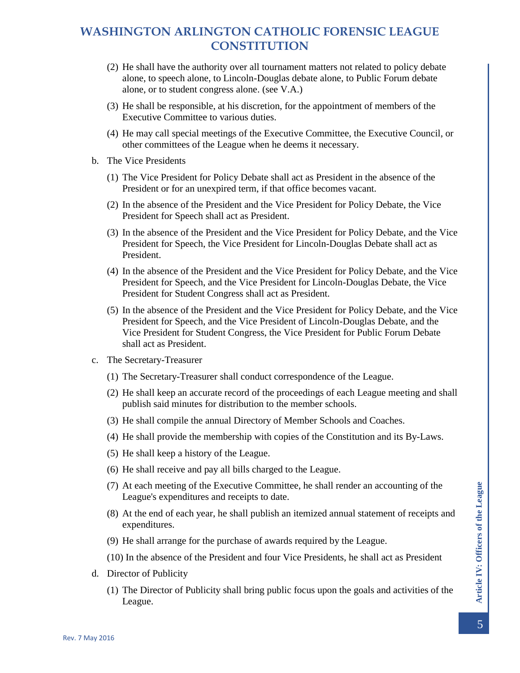- (2) He shall have the authority over all tournament matters not related to policy debate alone, to speech alone, to Lincoln-Douglas debate alone, to Public Forum debate alone, or to student congress alone. (see V.A.)
- (3) He shall be responsible, at his discretion, for the appointment of members of the Executive Committee to various duties.
- (4) He may call special meetings of the Executive Committee, the Executive Council, or other committees of the League when he deems it necessary.
- b. The Vice Presidents
	- (1) The Vice President for Policy Debate shall act as President in the absence of the President or for an unexpired term, if that office becomes vacant.
	- (2) In the absence of the President and the Vice President for Policy Debate, the Vice President for Speech shall act as President.
	- (3) In the absence of the President and the Vice President for Policy Debate, and the Vice President for Speech, the Vice President for Lincoln-Douglas Debate shall act as President.
	- (4) In the absence of the President and the Vice President for Policy Debate, and the Vice President for Speech, and the Vice President for Lincoln-Douglas Debate, the Vice President for Student Congress shall act as President.
	- (5) In the absence of the President and the Vice President for Policy Debate, and the Vice President for Speech, and the Vice President of Lincoln-Douglas Debate, and the Vice President for Student Congress, the Vice President for Public Forum Debate shall act as President.
- c. The Secretary-Treasurer
	- (1) The Secretary-Treasurer shall conduct correspondence of the League.
	- (2) He shall keep an accurate record of the proceedings of each League meeting and shall publish said minutes for distribution to the member schools.
	- (3) He shall compile the annual Directory of Member Schools and Coaches.
	- (4) He shall provide the membership with copies of the Constitution and its By-Laws.
	- (5) He shall keep a history of the League.
	- (6) He shall receive and pay all bills charged to the League.
	- (7) At each meeting of the Executive Committee, he shall render an accounting of the League's expenditures and receipts to date.
	- (8) At the end of each year, he shall publish an itemized annual statement of receipts and expenditures.
	- (9) He shall arrange for the purchase of awards required by the League.
	- (10) In the absence of the President and four Vice Presidents, he shall act as President
- d. Director of Publicity
	- (1) The Director of Publicity shall bring public focus upon the goals and activities of the League.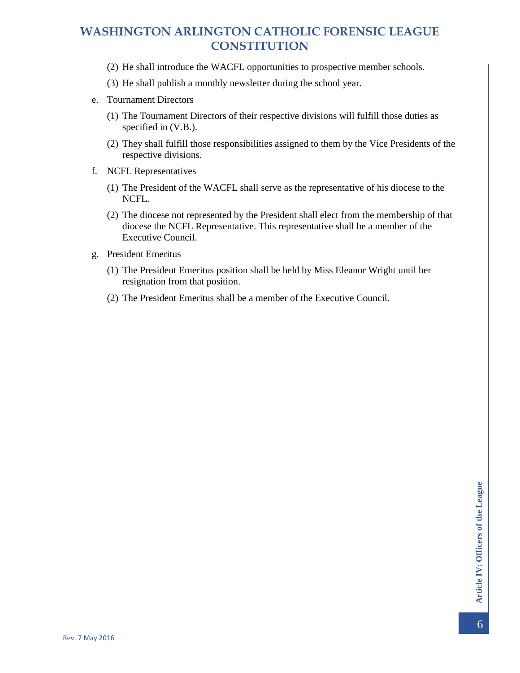- (2) He shall introduce the WACFL opportunities to prospective member schools.
- (3) He shall publish a monthly newsletter during the school year.
- e. Tournament Directors
	- (1) The Tournament Directors of their respective divisions will fulfill those duties as specified in (V.B.).
	- (2) They shall fulfill those responsibilities assigned to them by the Vice Presidents of the respective divisions.
- f. NCFL Representatives
	- (1) The President of the WACFL shall serve as the representative of his diocese to the NCFL.
	- (2) The diocese not represented by the President shall elect from the membership of that diocese the NCFL Representative. This representative shall be a member of the Executive Council.
- g. President Emeritus
	- (1) The President Emeritus position shall be held by Miss Eleanor Wright until her resignation from that position.
	- (2) The President Emeritus shall be a member of the Executive Council.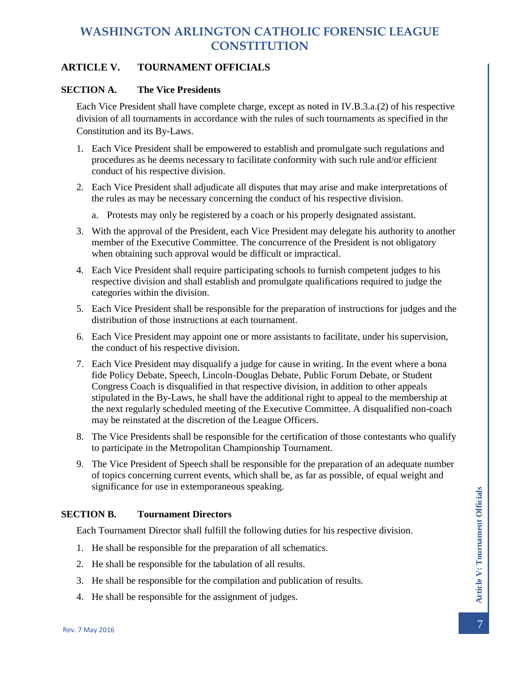## <span id="page-7-0"></span>**ARTICLE V. TOURNAMENT OFFICIALS**

### <span id="page-7-1"></span>**SECTION A. The Vice Presidents**

Each Vice President shall have complete charge, except as noted in IV.B.3.a.(2) of his respective division of all tournaments in accordance with the rules of such tournaments as specified in the Constitution and its By-Laws.

- 1. Each Vice President shall be empowered to establish and promulgate such regulations and procedures as he deems necessary to facilitate conformity with such rule and/or efficient conduct of his respective division.
- 2. Each Vice President shall adjudicate all disputes that may arise and make interpretations of the rules as may be necessary concerning the conduct of his respective division.
	- a. Protests may only be registered by a coach or his properly designated assistant.
- 3. With the approval of the President, each Vice President may delegate his authority to another member of the Executive Committee. The concurrence of the President is not obligatory when obtaining such approval would be difficult or impractical.
- 4. Each Vice President shall require participating schools to furnish competent judges to his respective division and shall establish and promulgate qualifications required to judge the categories within the division.
- 5. Each Vice President shall be responsible for the preparation of instructions for judges and the distribution of those instructions at each tournament.
- 6. Each Vice President may appoint one or more assistants to facilitate, under his supervision, the conduct of his respective division.
- 7. Each Vice President may disqualify a judge for cause in writing. In the event where a bona fide Policy Debate, Speech, Lincoln-Douglas Debate, Public Forum Debate, or Student Congress Coach is disqualified in that respective division, in addition to other appeals stipulated in the By-Laws, he shall have the additional right to appeal to the membership at the next regularly scheduled meeting of the Executive Committee. A disqualified non-coach may be reinstated at the discretion of the League Officers.
- 8. The Vice Presidents shall be responsible for the certification of those contestants who qualify to participate in the Metropolitan Championship Tournament.
- 9. The Vice President of Speech shall be responsible for the preparation of an adequate number of topics concerning current events, which shall be, as far as possible, of equal weight and significance for use in extemporaneous speaking.

### **SECTION B. Tournament Directors**

<span id="page-7-2"></span>**SECTION B.** Tournament Directors<br>
Each Tournament Directors<br>
Each Tournament Director shall fulfill the following duties for his respective division.<br>
1. He shall be responsible for the trabulation of all schematics.<br>
2. Each Tournament Director shall fulfill the following duties for his respective division.

- 1. He shall be responsible for the preparation of all schematics.
- 2. He shall be responsible for the tabulation of all results.
- 3. He shall be responsible for the compilation and publication of results.
- 4. He shall be responsible for the assignment of judges.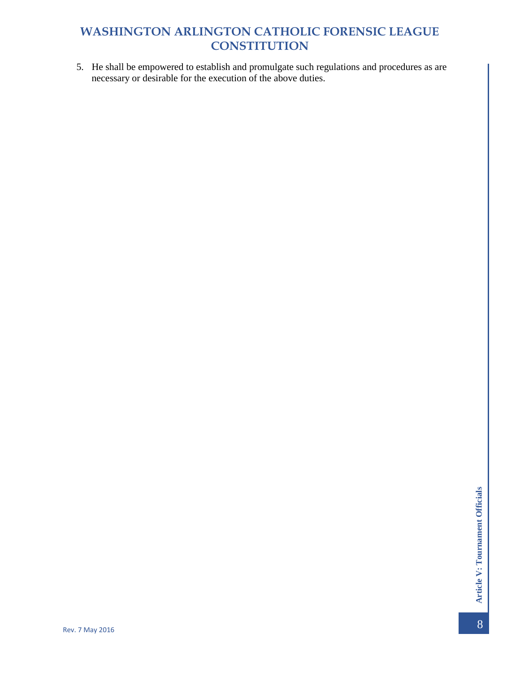5. He shall be empowered to establish and promulgate such regulations and procedures as are necessary or desirable for the execution of the above duties.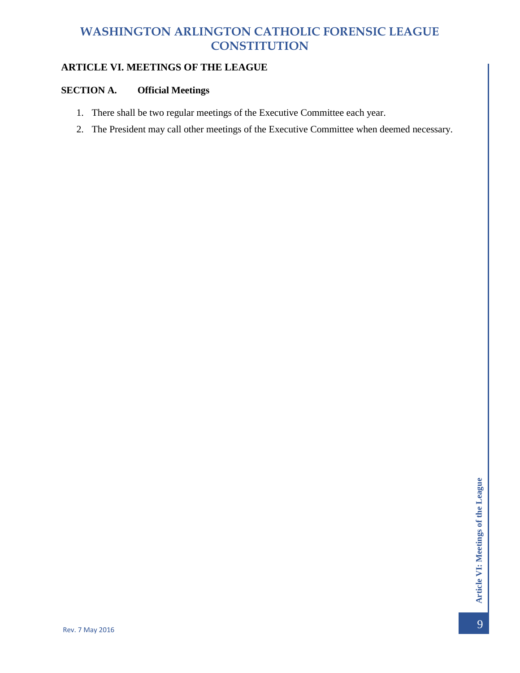## <span id="page-9-0"></span>**ARTICLE VI. MEETINGS OF THE LEAGUE**

### <span id="page-9-1"></span>**SECTION A. Official Meetings**

- 1. There shall be two regular meetings of the Executive Committee each year.
- 2. The President may call other meetings of the Executive Committee when deemed necessary.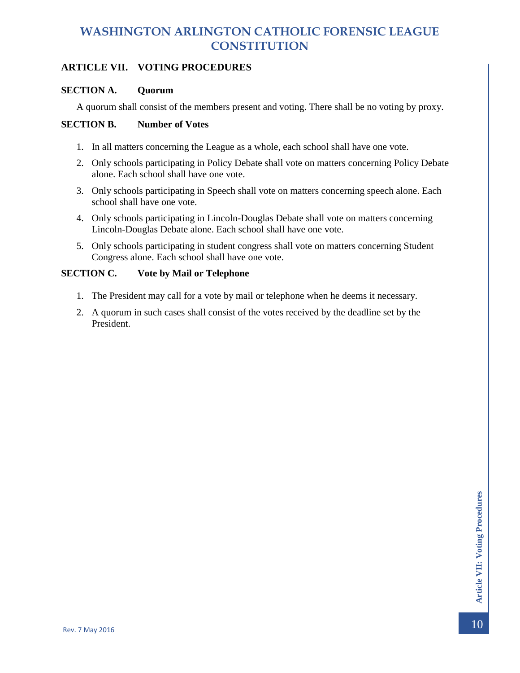## <span id="page-10-0"></span>**ARTICLE VII. VOTING PROCEDURES**

#### <span id="page-10-1"></span>**SECTION A. Quorum**

A quorum shall consist of the members present and voting. There shall be no voting by proxy.

#### <span id="page-10-2"></span>**SECTION B. Number of Votes**

- 1. In all matters concerning the League as a whole, each school shall have one vote.
- 2. Only schools participating in Policy Debate shall vote on matters concerning Policy Debate alone. Each school shall have one vote.
- 3. Only schools participating in Speech shall vote on matters concerning speech alone. Each school shall have one vote.
- 4. Only schools participating in Lincoln-Douglas Debate shall vote on matters concerning Lincoln-Douglas Debate alone. Each school shall have one vote.
- 5. Only schools participating in student congress shall vote on matters concerning Student Congress alone. Each school shall have one vote.

### <span id="page-10-3"></span>**SECTION C. Vote by Mail or Telephone**

- 1. The President may call for a vote by mail or telephone when he deems it necessary.
- 2. A quorum in such cases shall consist of the votes received by the deadline set by the President.